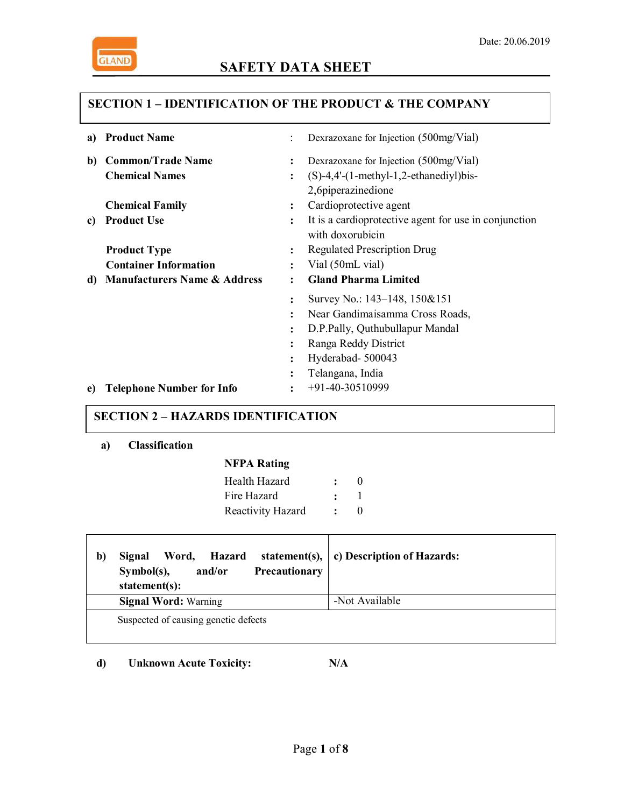

# **SAFETY DATA SHEET**

## **SECTION 1 – IDENTIFICATION OF THE PRODUCT & THE COMPANY**

| a) | <b>Product Name</b>                     |                | Dexrazoxane for Injection (500mg/Vial)                |
|----|-----------------------------------------|----------------|-------------------------------------------------------|
| b) | <b>Common/Trade Name</b>                | $\ddot{\cdot}$ | Dexrazoxane for Injection (500mg/Vial)                |
|    | <b>Chemical Names</b>                   | $\colon$       | $(S)-4,4'-(1-methyl-1,2-ethanediyl)$ bis-             |
|    |                                         |                | 2,6piperazinedione                                    |
|    | <b>Chemical Family</b>                  | ፡              | Cardioprotective agent                                |
| c) | <b>Product Use</b>                      | $\ddot{\cdot}$ | It is a cardioprotective agent for use in conjunction |
|    |                                         |                | with doxorubicin                                      |
|    | <b>Product Type</b>                     | $\ddot{\cdot}$ | <b>Regulated Prescription Drug</b>                    |
|    | <b>Container Information</b>            | $\bullet$      | Vial (50mL vial)                                      |
| d) |                                         | ٠              | <b>Gland Pharma Limited</b>                           |
|    | <b>Manufacturers Name &amp; Address</b> |                |                                                       |
|    |                                         | $\ddot{\cdot}$ | Survey No.: 143–148, 150&151                          |
|    |                                         | $\ddot{\cdot}$ | Near Gandimaisamma Cross Roads,                       |
|    |                                         | $\ddot{\cdot}$ | D.P.Pally, Quthubullapur Mandal                       |
|    |                                         | ٠              | Ranga Reddy District                                  |
|    |                                         | $\ddot{\cdot}$ | Hyderabad-500043                                      |
|    |                                         | ٠              | Telangana, India                                      |

### **SECTION 2 – HAZARDS IDENTIFICATION**

**a) Classification**

## **NFPA Rating**

| Health Hazard     | $\mathbf{\Omega}$ |
|-------------------|-------------------|
| Fire Hazard       |                   |
| Reactivity Hazard | $\mathbf{\Omega}$ |

| b) | Hazard<br>Word.<br>Signal<br>Precautionary<br>$Symbol(s)$ ,<br>and/or<br>statement(s): | statement(s), $\vert$ c) Description of Hazards: |
|----|----------------------------------------------------------------------------------------|--------------------------------------------------|
|    | <b>Signal Word: Warning</b>                                                            | -Not Available                                   |
|    | Suspected of causing genetic defects                                                   |                                                  |

**d) Unknown Acute Toxicity: N/A**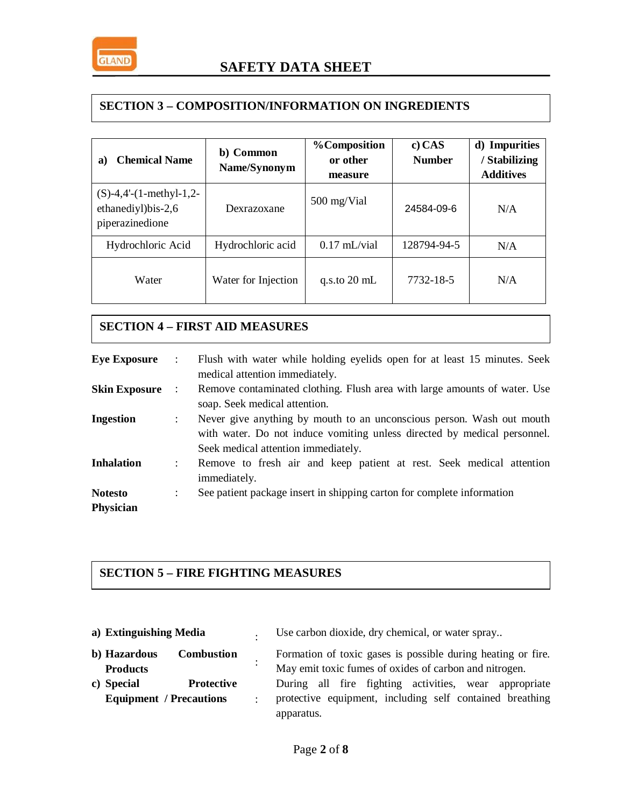

### **SECTION 3 – COMPOSITION/INFORMATION ON INGREDIENTS**

| <b>Chemical Name</b><br>a)                                              | b) Common<br>Name/Synonym | <b>%Composition</b><br>or other<br>measure |             | d) Impurities<br>/ Stabilizing<br><b>Additives</b> |
|-------------------------------------------------------------------------|---------------------------|--------------------------------------------|-------------|----------------------------------------------------|
| $(S)$ -4,4'- $(1$ -methyl-1,2-<br>ethanediyl)bis-2,6<br>piperazinedione | Dexrazoxane               | 500 mg/Vial                                | 24584-09-6  | N/A                                                |
| Hydrochloric Acid                                                       | Hydrochloric acid         | $0.17 \text{ mL/via}$                      | 128794-94-5 | N/A                                                |
| Water                                                                   | Water for Injection       | q.s.to $20 \text{ mL}$                     | 7732-18-5   | N/A                                                |

### **SECTION 4 – FIRST AID MEASURES**

| <b>Eye Exposure</b>                | $\mathbb{R}^n$       | Flush with water while holding eyelids open for at least 15 minutes. Seek<br>medical attention immediately.                                                                              |
|------------------------------------|----------------------|------------------------------------------------------------------------------------------------------------------------------------------------------------------------------------------|
| <b>Skin Exposure</b>               |                      | Remove contaminated clothing. Flush area with large amounts of water. Use<br>soap. Seek medical attention.                                                                               |
| <b>Ingestion</b>                   | $\ddot{\phantom{a}}$ | Never give anything by mouth to an unconscious person. Wash out mouth<br>with water. Do not induce vomiting unless directed by medical personnel.<br>Seek medical attention immediately. |
| <b>Inhalation</b>                  | $\ddot{\phantom{a}}$ | Remove to fresh air and keep patient at rest. Seek medical attention<br>immediately.                                                                                                     |
| <b>Notesto</b><br><b>Physician</b> |                      | See patient package insert in shipping carton for complete information                                                                                                                   |

# **SECTION 5 – FIRE FIGHTING MEASURES**

| a) Extinguishing Media                                                                    |           | Use carbon dioxide, dry chemical, or water spray                                                                       |
|-------------------------------------------------------------------------------------------|-----------|------------------------------------------------------------------------------------------------------------------------|
| b) Hazardous<br><b>Combustion</b><br><b>Products</b>                                      | $\bullet$ | Formation of toxic gases is possible during heating or fire.<br>May emit toxic fumes of oxides of carbon and nitrogen. |
| c) Special<br><b>Protective</b><br><b>Equipment</b> / Precautions<br>$\ddot{\phantom{a}}$ |           | During all fire fighting activities, wear appropriate<br>protective equipment, including self contained breathing      |
|                                                                                           |           | apparatus.                                                                                                             |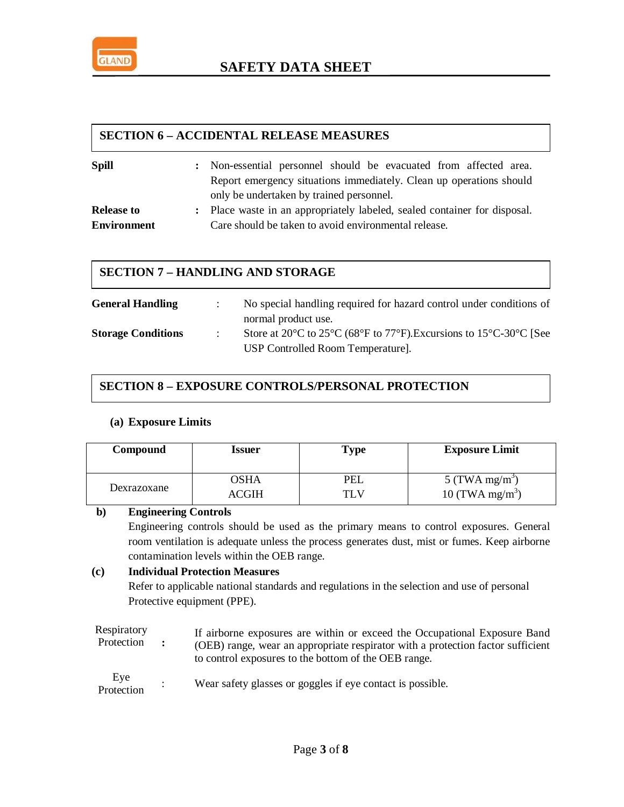

## **SECTION 6 – ACCIDENTAL RELEASE MEASURES**

| <b>Spill</b>       | : Non-essential personnel should be evacuated from affected area.         |  |
|--------------------|---------------------------------------------------------------------------|--|
|                    | Report emergency situations immediately. Clean up operations should       |  |
|                    | only be undertaken by trained personnel.                                  |  |
| <b>Release to</b>  | : Place waste in an appropriately labeled, sealed container for disposal. |  |
| <b>Environment</b> | Care should be taken to avoid environmental release.                      |  |

### **SECTION 7 – HANDLING AND STORAGE**

| <b>General Handling</b>   | No special handling required for hazard control under conditions of                                                                                                                       |
|---------------------------|-------------------------------------------------------------------------------------------------------------------------------------------------------------------------------------------|
| <b>Storage Conditions</b> | normal product use.<br>Store at 20 $\degree$ C to 25 $\degree$ C (68 $\degree$ F to 77 $\degree$ F). Excursions to 15 $\degree$ C-30 $\degree$ C [See<br>USP Controlled Room Temperature. |

### **SECTION 8 – EXPOSURE CONTROLS/PERSONAL PROTECTION**

### **(a) Exposure Limits**

| Compound    | Issuer | <b>Type</b> | <b>Exposure Limit</b>       |
|-------------|--------|-------------|-----------------------------|
| Dexrazoxane | OSHA   | PEL         | 5 (TWA mg/m <sup>3</sup> )  |
|             | ACGIH  | TLV         | 10 (TWA mg/m <sup>3</sup> ) |

#### **b) Engineering Controls**

Engineering controls should be used as the primary means to control exposures. General room ventilation is adequate unless the process generates dust, mist or fumes. Keep airborne contamination levels within the OEB range.

### **(c) Individual Protection Measures**

Refer to applicable national standards and regulations in the selection and use of personal Protective equipment (PPE).

Respiratory Protection **:** If airborne exposures are within or exceed the Occupational Exposure Band (OEB) range, wear an appropriate respirator with a protection factor sufficient to control exposures to the bottom of the OEB range.

| Eye        | Wear safety glasses or goggles if eye contact is possible. |
|------------|------------------------------------------------------------|
| Protection |                                                            |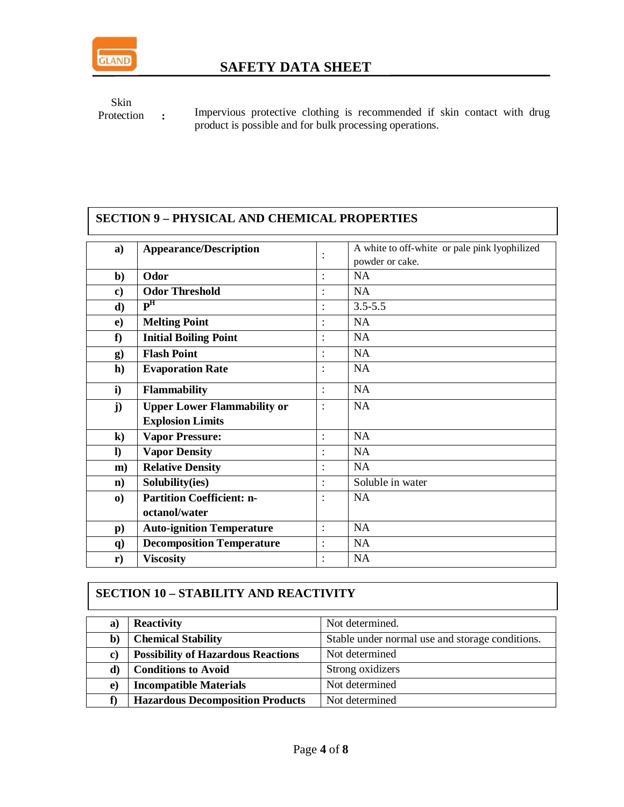

Skin Protection **:**

Impervious protective clothing is recommended if skin contact with drug product is possible and for bulk processing operations.

# **SECTION 9 – PHYSICAL AND CHEMICAL PROPERTIES**

| a)            | <b>Appearance/Description</b>      |                      | A white to off-white or pale pink lyophilized |
|---------------|------------------------------------|----------------------|-----------------------------------------------|
|               |                                    | $\ddot{\phantom{0}}$ | powder or cake.                               |
| $\mathbf{b}$  | Odor                               | $\bullet$            | <b>NA</b>                                     |
| $\bf c)$      | <b>Odor Threshold</b>              |                      | <b>NA</b>                                     |
| d)            | P <sup>H</sup>                     |                      | $3.5 - 5.5$                                   |
| $\bf e)$      | <b>Melting Point</b>               |                      | <b>NA</b>                                     |
| f             | <b>Initial Boiling Point</b>       | $\ddot{\cdot}$       | <b>NA</b>                                     |
| $\bf{g})$     | <b>Flash Point</b>                 |                      | <b>NA</b>                                     |
| h)            | <b>Evaporation Rate</b>            | $\ddot{\cdot}$       | NA                                            |
| i)            | <b>Flammability</b>                | $\ddot{\cdot}$       | <b>NA</b>                                     |
| $\mathbf{j}$  | <b>Upper Lower Flammability or</b> | $\ddot{\cdot}$       | <b>NA</b>                                     |
|               | <b>Explosion Limits</b>            |                      |                                               |
| $\bf k)$      | <b>Vapor Pressure:</b>             |                      | <b>NA</b>                                     |
| $\bf{l}$      | <b>Vapor Density</b>               |                      | <b>NA</b>                                     |
| m)            | <b>Relative Density</b>            |                      | <b>NA</b>                                     |
| $\mathbf{n}$  | Solubility(ies)                    |                      | Soluble in water                              |
| $\bf{0}$      | <b>Partition Coefficient: n-</b>   |                      | <b>NA</b>                                     |
|               | octanol/water                      |                      |                                               |
| $\mathbf{p}$  | <b>Auto-ignition Temperature</b>   | $\ddot{\cdot}$       | <b>NA</b>                                     |
| $\mathbf{q}$  | <b>Decomposition Temperature</b>   | $\ddot{\cdot}$       | NA                                            |
| $\mathbf{r})$ | <b>Viscosity</b>                   | $\bullet$            | <b>NA</b>                                     |

## **SECTION 10 – STABILITY AND REACTIVITY**

| a)           | <b>Reactivity</b>                         | Not determined.                                 |
|--------------|-------------------------------------------|-------------------------------------------------|
| $\mathbf{b}$ | <b>Chemical Stability</b>                 | Stable under normal use and storage conditions. |
| C)           | <b>Possibility of Hazardous Reactions</b> | Not determined                                  |
| d)           | <b>Conditions to Avoid</b>                | Strong oxidizers                                |
| e)           | <b>Incompatible Materials</b>             | Not determined                                  |
|              | <b>Hazardous Decomposition Products</b>   | Not determined                                  |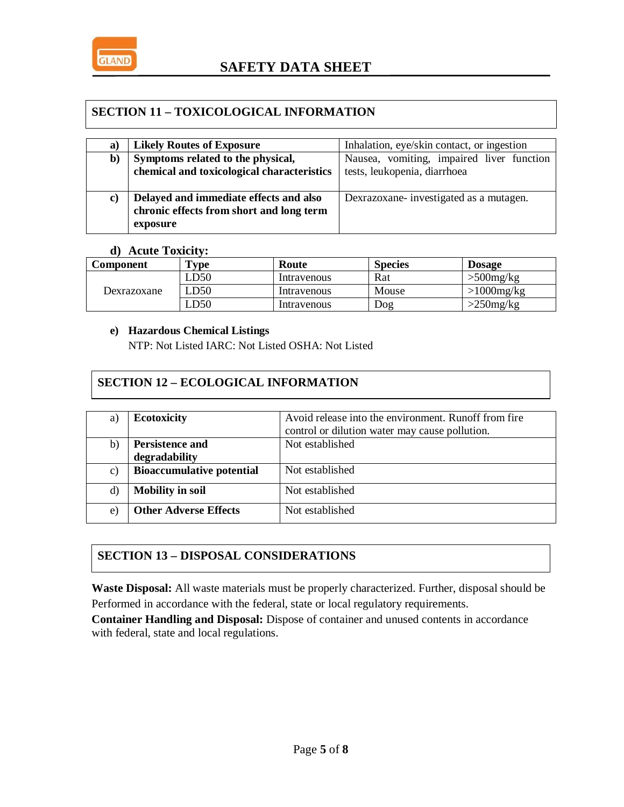

## **SECTION 11 – TOXICOLOGICAL INFORMATION**

| Nausea, vomiting, impaired liver function                                            |
|--------------------------------------------------------------------------------------|
|                                                                                      |
|                                                                                      |
|                                                                                      |
|                                                                                      |
|                                                                                      |
| Inhalation, eye/skin contact, or ingestion<br>Dexrazoxane-investigated as a mutagen. |

### **d) Acute Toxicity:**

| Component   | $\mathbf{v}_{\mathbf{v}\mathbf{p}\mathbf{e}}$ | Route       | <b>Species</b> | <b>Dosage</b>    |
|-------------|-----------------------------------------------|-------------|----------------|------------------|
|             | LD50                                          | Intravenous | Rat            | $>500$ mg/kg     |
| Dexrazoxane | LD50                                          | Intravenous | Mouse          | $>1000$ mg/ $kg$ |
|             | LD50                                          | Intravenous | Dog            | $>250$ mg/kg     |

### **e) Hazardous Chemical Listings**

NTP: Not Listed IARC: Not Listed OSHA: Not Listed

## **SECTION 12 – ECOLOGICAL INFORMATION**

| a) | <b>Ecotoxicity</b>               | Avoid release into the environment. Runoff from fire<br>control or dilution water may cause pollution. |
|----|----------------------------------|--------------------------------------------------------------------------------------------------------|
| b) | <b>Persistence and</b>           | Not established                                                                                        |
|    | degradability                    |                                                                                                        |
| c) | <b>Bioaccumulative potential</b> | Not established                                                                                        |
| d) | <b>Mobility in soil</b>          | Not established                                                                                        |
| e) | <b>Other Adverse Effects</b>     | Not established                                                                                        |

## **SECTION 13 – DISPOSAL CONSIDERATIONS**

**Waste Disposal:** All waste materials must be properly characterized. Further, disposal should be Performed in accordance with the federal, state or local regulatory requirements.

**Container Handling and Disposal:** Dispose of container and unused contents in accordance with federal, state and local regulations.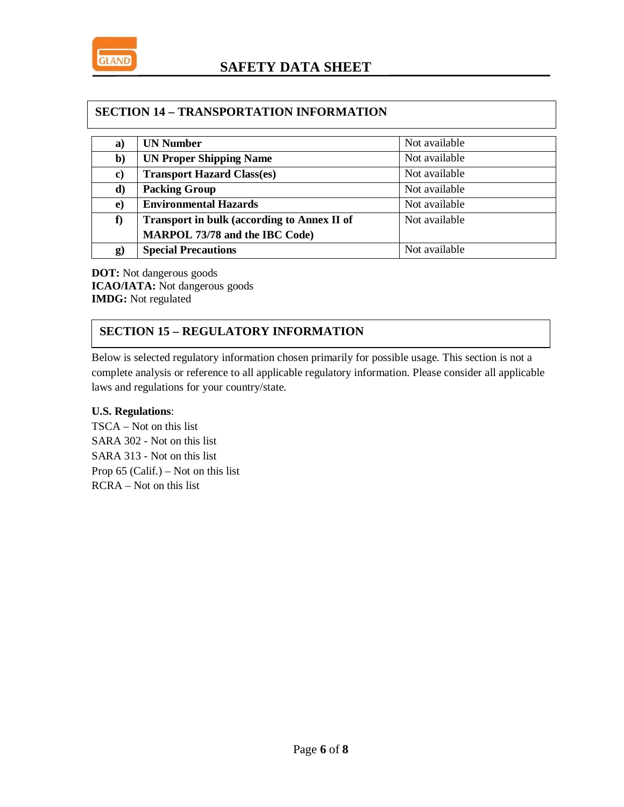

### **SECTION 14 – TRANSPORTATION INFORMATION**

| a)        | <b>UN Number</b>                                   | Not available |
|-----------|----------------------------------------------------|---------------|
| b)        | <b>UN Proper Shipping Name</b>                     | Not available |
| $\bf c)$  | <b>Transport Hazard Class(es)</b>                  | Not available |
| d)        | <b>Packing Group</b>                               | Not available |
| $\bf e)$  | <b>Environmental Hazards</b>                       | Not available |
| f)        | <b>Transport in bulk (according to Annex II of</b> | Not available |
|           | <b>MARPOL 73/78 and the IBC Code)</b>              |               |
| $\bf{g})$ | <b>Special Precautions</b>                         | Not available |

**DOT:** Not dangerous goods **ICAO/IATA:** Not dangerous goods **IMDG:** Not regulated

## **SECTION 15 – REGULATORY INFORMATION**

Below is selected regulatory information chosen primarily for possible usage. This section is not a complete analysis or reference to all applicable regulatory information. Please consider all applicable laws and regulations for your country/state.

#### **U.S. Regulations**:

TSCA – Not on this list SARA 302 - Not on this list SARA 313 - Not on this list Prop  $65$  (Calif.) – Not on this list RCRA – Not on this list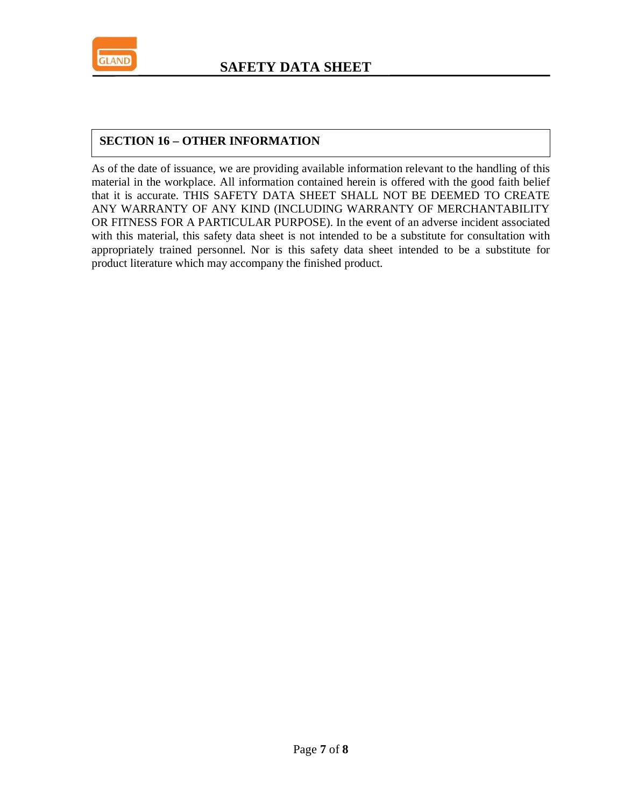

## **SECTION 16 – OTHER INFORMATION**

As of the date of issuance, we are providing available information relevant to the handling of this material in the workplace. All information contained herein is offered with the good faith belief that it is accurate. THIS SAFETY DATA SHEET SHALL NOT BE DEEMED TO CREATE ANY WARRANTY OF ANY KIND (INCLUDING WARRANTY OF MERCHANTABILITY OR FITNESS FOR A PARTICULAR PURPOSE). In the event of an adverse incident associated with this material, this safety data sheet is not intended to be a substitute for consultation with appropriately trained personnel. Nor is this safety data sheet intended to be a substitute for product literature which may accompany the finished product.